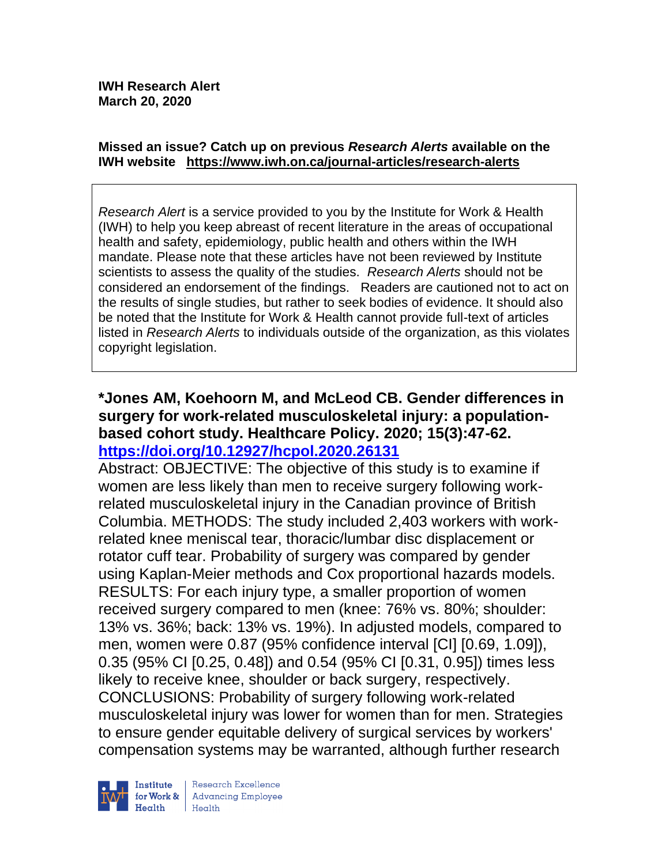#### **Missed an issue? Catch up on previous** *Research Alerts* **available on the [IWH website](http://www.iwh.on.ca/research-alerts) <https://www.iwh.on.ca/journal-articles/research-alerts>**

*Research Alert* is a service provided to you by the Institute for Work & Health (IWH) to help you keep abreast of recent literature in the areas of occupational health and safety, epidemiology, public health and others within the IWH mandate. Please note that these articles have not been reviewed by Institute scientists to assess the quality of the studies. *Research Alerts* should not be considered an endorsement of the findings. Readers are cautioned not to act on the results of single studies, but rather to seek bodies of evidence. It should also be noted that the Institute for Work & Health cannot provide full-text of articles listed in *Research Alerts* to individuals outside of the organization, as this violates copyright legislation.

### **\*Jones AM, Koehoorn M, and McLeod CB. Gender differences in surgery for work-related musculoskeletal injury: a populationbased cohort study. Healthcare Policy. 2020; 15(3):47-62. <https://doi.org/10.12927/hcpol.2020.26131>**

Abstract: OBJECTIVE: The objective of this study is to examine if women are less likely than men to receive surgery following workrelated musculoskeletal injury in the Canadian province of British Columbia. METHODS: The study included 2,403 workers with workrelated knee meniscal tear, thoracic/lumbar disc displacement or rotator cuff tear. Probability of surgery was compared by gender using Kaplan-Meier methods and Cox proportional hazards models. RESULTS: For each injury type, a smaller proportion of women received surgery compared to men (knee: 76% vs. 80%; shoulder: 13% vs. 36%; back: 13% vs. 19%). In adjusted models, compared to men, women were 0.87 (95% confidence interval [CI] [0.69, 1.09]), 0.35 (95% CI [0.25, 0.48]) and 0.54 (95% CI [0.31, 0.95]) times less likely to receive knee, shoulder or back surgery, respectively. CONCLUSIONS: Probability of surgery following work-related musculoskeletal injury was lower for women than for men. Strategies to ensure gender equitable delivery of surgical services by workers' compensation systems may be warranted, although further research



Research Excellence for Work & | Advancing Employee  $H$ ealth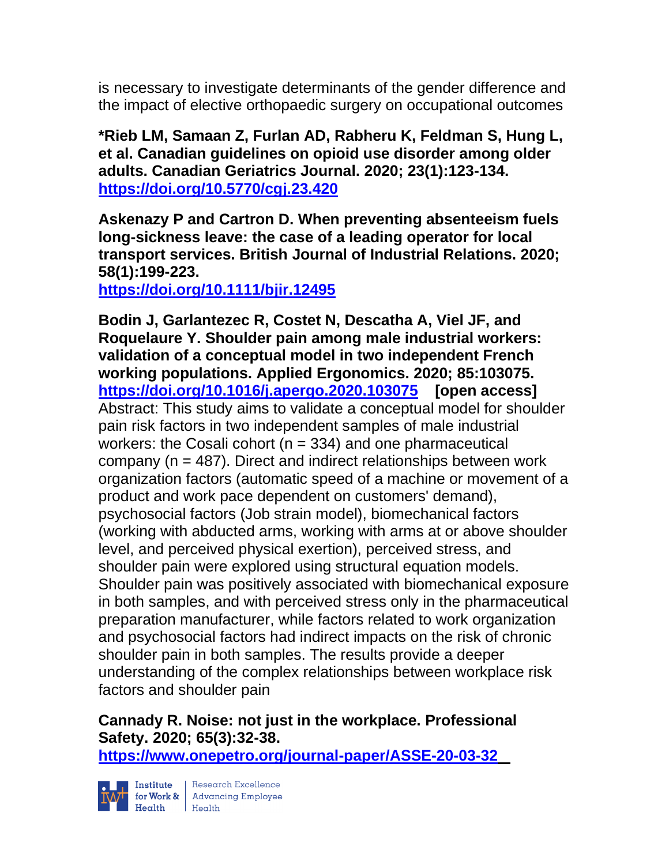is necessary to investigate determinants of the gender difference and the impact of elective orthopaedic surgery on occupational outcomes

**\*Rieb LM, Samaan Z, Furlan AD, Rabheru K, Feldman S, Hung L, et al. Canadian guidelines on opioid use disorder among older adults. Canadian Geriatrics Journal. 2020; 23(1):123-134. <https://doi.org/10.5770/cgj.23.420>** 

**Askenazy P and Cartron D. When preventing absenteeism fuels long-sickness leave: the case of a leading operator for local transport services. British Journal of Industrial Relations. 2020; 58(1):199-223.** 

**<https://doi.org/10.1111/bjir.12495>** 

**Bodin J, Garlantezec R, Costet N, Descatha A, Viel JF, and Roquelaure Y. Shoulder pain among male industrial workers: validation of a conceptual model in two independent French working populations. Applied Ergonomics. 2020; 85:103075. <https://doi.org/10.1016/j.apergo.2020.103075> [open access]**  Abstract: This study aims to validate a conceptual model for shoulder pain risk factors in two independent samples of male industrial workers: the Cosali cohort ( $n = 334$ ) and one pharmaceutical company (n = 487). Direct and indirect relationships between work organization factors (automatic speed of a machine or movement of a product and work pace dependent on customers' demand), psychosocial factors (Job strain model), biomechanical factors (working with abducted arms, working with arms at or above shoulder level, and perceived physical exertion), perceived stress, and shoulder pain were explored using structural equation models. Shoulder pain was positively associated with biomechanical exposure in both samples, and with perceived stress only in the pharmaceutical preparation manufacturer, while factors related to work organization and psychosocial factors had indirect impacts on the risk of chronic shoulder pain in both samples. The results provide a deeper understanding of the complex relationships between workplace risk factors and shoulder pain

# **Cannady R. Noise: not just in the workplace. Professional Safety. 2020; 65(3):32-38.**

**<https://www.onepetro.org/journal-paper/ASSE-20-03-32>**



 $\begin{tabular}{|l|l|} \hline \textbf{Institute} & Research \textbf{Excellence} \\ \hline \textbf{for Work & Advancing Employee} \\ \textbf{Health} & Health \\ \hline \end{tabular}$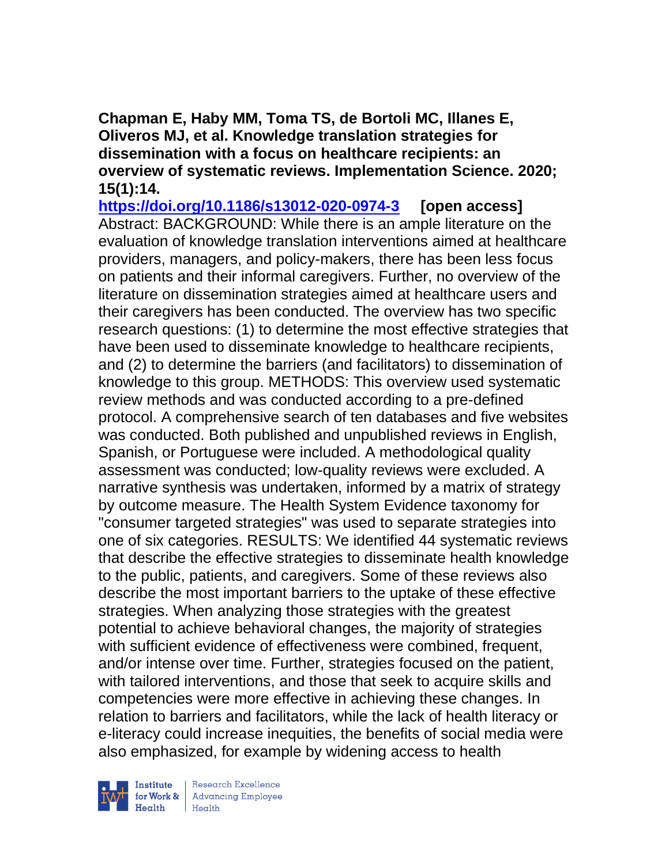**Chapman E, Haby MM, Toma TS, de Bortoli MC, Illanes E, Oliveros MJ, et al. Knowledge translation strategies for dissemination with a focus on healthcare recipients: an overview of systematic reviews. Implementation Science. 2020; 15(1):14.**

**<https://doi.org/10.1186/s13012-020-0974-3> [open access]** Abstract: BACKGROUND: While there is an ample literature on the evaluation of knowledge translation interventions aimed at healthcare providers, managers, and policy-makers, there has been less focus on patients and their informal caregivers. Further, no overview of the literature on dissemination strategies aimed at healthcare users and their caregivers has been conducted. The overview has two specific research questions: (1) to determine the most effective strategies that have been used to disseminate knowledge to healthcare recipients, and (2) to determine the barriers (and facilitators) to dissemination of knowledge to this group. METHODS: This overview used systematic review methods and was conducted according to a pre-defined protocol. A comprehensive search of ten databases and five websites was conducted. Both published and unpublished reviews in English, Spanish, or Portuguese were included. A methodological quality assessment was conducted; low-quality reviews were excluded. A narrative synthesis was undertaken, informed by a matrix of strategy by outcome measure. The Health System Evidence taxonomy for "consumer targeted strategies" was used to separate strategies into one of six categories. RESULTS: We identified 44 systematic reviews that describe the effective strategies to disseminate health knowledge to the public, patients, and caregivers. Some of these reviews also describe the most important barriers to the uptake of these effective strategies. When analyzing those strategies with the greatest potential to achieve behavioral changes, the majority of strategies with sufficient evidence of effectiveness were combined, frequent, and/or intense over time. Further, strategies focused on the patient, with tailored interventions, and those that seek to acquire skills and competencies were more effective in achieving these changes. In relation to barriers and facilitators, while the lack of health literacy or e-literacy could increase inequities, the benefits of social media were also emphasized, for example by widening access to health



Research Excellence for Work & Advancing Employee<br>Health Health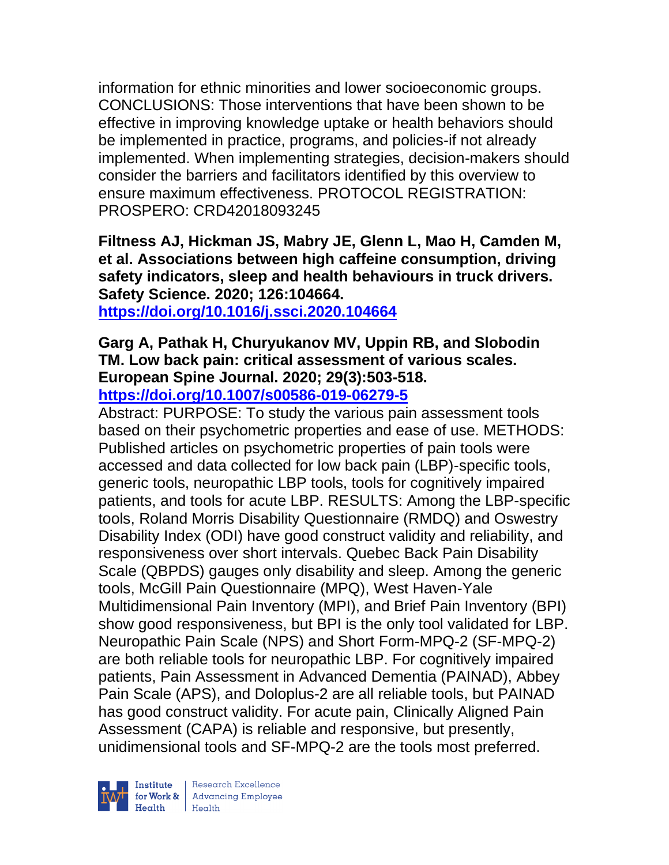information for ethnic minorities and lower socioeconomic groups. CONCLUSIONS: Those interventions that have been shown to be effective in improving knowledge uptake or health behaviors should be implemented in practice, programs, and policies-if not already implemented. When implementing strategies, decision-makers should consider the barriers and facilitators identified by this overview to ensure maximum effectiveness. PROTOCOL REGISTRATION: PROSPERO: CRD42018093245

**Filtness AJ, Hickman JS, Mabry JE, Glenn L, Mao H, Camden M, et al. Associations between high caffeine consumption, driving safety indicators, sleep and health behaviours in truck drivers. Safety Science. 2020; 126:104664.**

**<https://doi.org/10.1016/j.ssci.2020.104664>** 

#### **Garg A, Pathak H, Churyukanov MV, Uppin RB, and Slobodin TM. Low back pain: critical assessment of various scales. European Spine Journal. 2020; 29(3):503-518. <https://doi.org/10.1007/s00586-019-06279-5>**

Abstract: PURPOSE: To study the various pain assessment tools based on their psychometric properties and ease of use. METHODS: Published articles on psychometric properties of pain tools were accessed and data collected for low back pain (LBP)-specific tools, generic tools, neuropathic LBP tools, tools for cognitively impaired patients, and tools for acute LBP. RESULTS: Among the LBP-specific tools, Roland Morris Disability Questionnaire (RMDQ) and Oswestry Disability Index (ODI) have good construct validity and reliability, and responsiveness over short intervals. Quebec Back Pain Disability Scale (QBPDS) gauges only disability and sleep. Among the generic tools, McGill Pain Questionnaire (MPQ), West Haven-Yale Multidimensional Pain Inventory (MPI), and Brief Pain Inventory (BPI) show good responsiveness, but BPI is the only tool validated for LBP. Neuropathic Pain Scale (NPS) and Short Form-MPQ-2 (SF-MPQ-2) are both reliable tools for neuropathic LBP. For cognitively impaired patients, Pain Assessment in Advanced Dementia (PAINAD), Abbey Pain Scale (APS), and Doloplus-2 are all reliable tools, but PAINAD has good construct validity. For acute pain, Clinically Aligned Pain Assessment (CAPA) is reliable and responsive, but presently, unidimensional tools and SF-MPQ-2 are the tools most preferred.

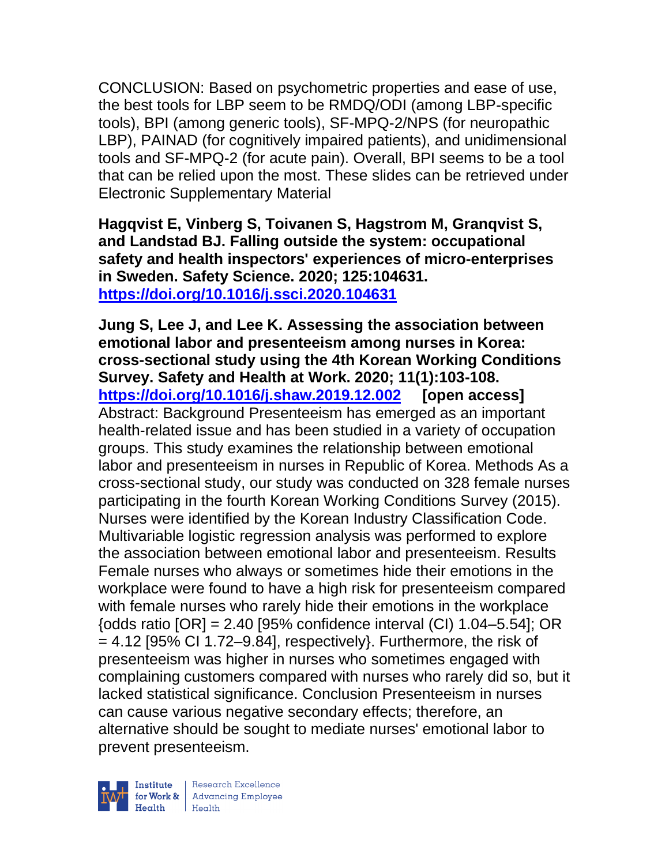CONCLUSION: Based on psychometric properties and ease of use, the best tools for LBP seem to be RMDQ/ODI (among LBP-specific tools), BPI (among generic tools), SF-MPQ-2/NPS (for neuropathic LBP), PAINAD (for cognitively impaired patients), and unidimensional tools and SF-MPQ-2 (for acute pain). Overall, BPI seems to be a tool that can be relied upon the most. These slides can be retrieved under Electronic Supplementary Material

**Hagqvist E, Vinberg S, Toivanen S, Hagstrom M, Granqvist S, and Landstad BJ. Falling outside the system: occupational safety and health inspectors' experiences of micro-enterprises in Sweden. Safety Science. 2020; 125:104631. <https://doi.org/10.1016/j.ssci.2020.104631>** 

**Jung S, Lee J, and Lee K. Assessing the association between emotional labor and presenteeism among nurses in Korea: cross-sectional study using the 4th Korean Working Conditions Survey. Safety and Health at Work. 2020; 11(1):103-108. <https://doi.org/10.1016/j.shaw.2019.12.002> [open access]** Abstract: Background Presenteeism has emerged as an important health-related issue and has been studied in a variety of occupation groups. This study examines the relationship between emotional labor and presenteeism in nurses in Republic of Korea. Methods As a cross-sectional study, our study was conducted on 328 female nurses participating in the fourth Korean Working Conditions Survey (2015). Nurses were identified by the Korean Industry Classification Code. Multivariable logistic regression analysis was performed to explore the association between emotional labor and presenteeism. Results Female nurses who always or sometimes hide their emotions in the workplace were found to have a high risk for presenteeism compared with female nurses who rarely hide their emotions in the workplace  $\{odds \text{ ratio } [OR] = 2.40 \, [95\% \text{ confidence interval (Cl)} \, 1.04 - 5.54]; \text{ OR}$  $= 4.12$  [95% CI 1.72–9.84], respectively}. Furthermore, the risk of presenteeism was higher in nurses who sometimes engaged with complaining customers compared with nurses who rarely did so, but it lacked statistical significance. Conclusion Presenteeism in nurses can cause various negative secondary effects; therefore, an alternative should be sought to mediate nurses' emotional labor to prevent presenteeism.

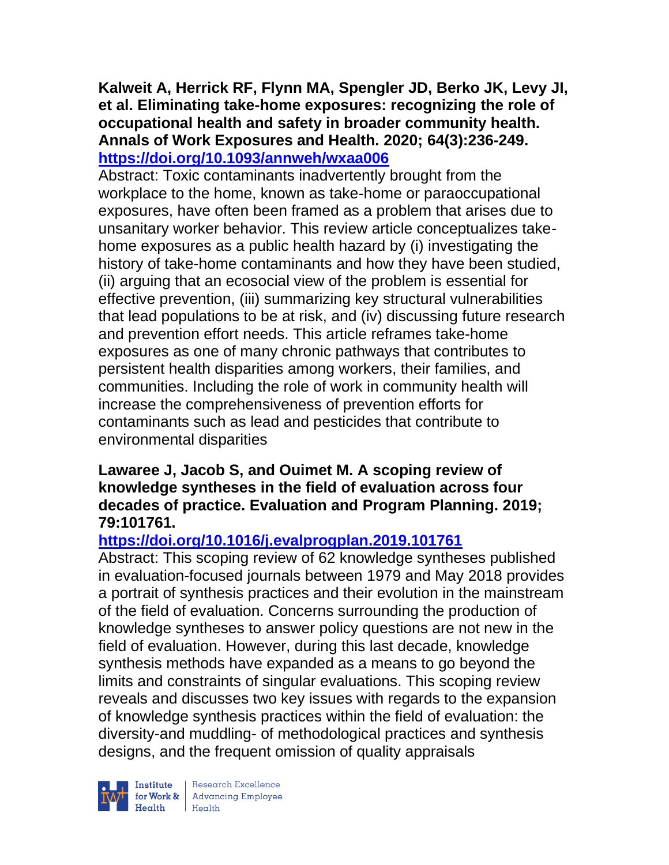### **Kalweit A, Herrick RF, Flynn MA, Spengler JD, Berko JK, Levy JI, et al. Eliminating take-home exposures: recognizing the role of occupational health and safety in broader community health. Annals of Work Exposures and Health. 2020; 64(3):236-249. <https://doi.org/10.1093/annweh/wxaa006>**

Abstract: Toxic contaminants inadvertently brought from the workplace to the home, known as take-home or paraoccupational exposures, have often been framed as a problem that arises due to unsanitary worker behavior. This review article conceptualizes takehome exposures as a public health hazard by (i) investigating the history of take-home contaminants and how they have been studied, (ii) arguing that an ecosocial view of the problem is essential for effective prevention, (iii) summarizing key structural vulnerabilities that lead populations to be at risk, and (iv) discussing future research and prevention effort needs. This article reframes take-home exposures as one of many chronic pathways that contributes to persistent health disparities among workers, their families, and communities. Including the role of work in community health will increase the comprehensiveness of prevention efforts for contaminants such as lead and pesticides that contribute to environmental disparities

### **Lawaree J, Jacob S, and Ouimet M. A scoping review of knowledge syntheses in the field of evaluation across four decades of practice. Evaluation and Program Planning. 2019; 79:101761.**

## **<https://doi.org/10.1016/j.evalprogplan.2019.101761>**

Abstract: This scoping review of 62 knowledge syntheses published in evaluation-focused journals between 1979 and May 2018 provides a portrait of synthesis practices and their evolution in the mainstream of the field of evaluation. Concerns surrounding the production of knowledge syntheses to answer policy questions are not new in the field of evaluation. However, during this last decade, knowledge synthesis methods have expanded as a means to go beyond the limits and constraints of singular evaluations. This scoping review reveals and discusses two key issues with regards to the expansion of knowledge synthesis practices within the field of evaluation: the diversity-and muddling- of methodological practices and synthesis designs, and the frequent omission of quality appraisals



 $\begin{tabular}{|l|} Institute & Research Excellence \\ \hline for Work & Advancing Employee \\ Health & Health \\ \end{tabular}$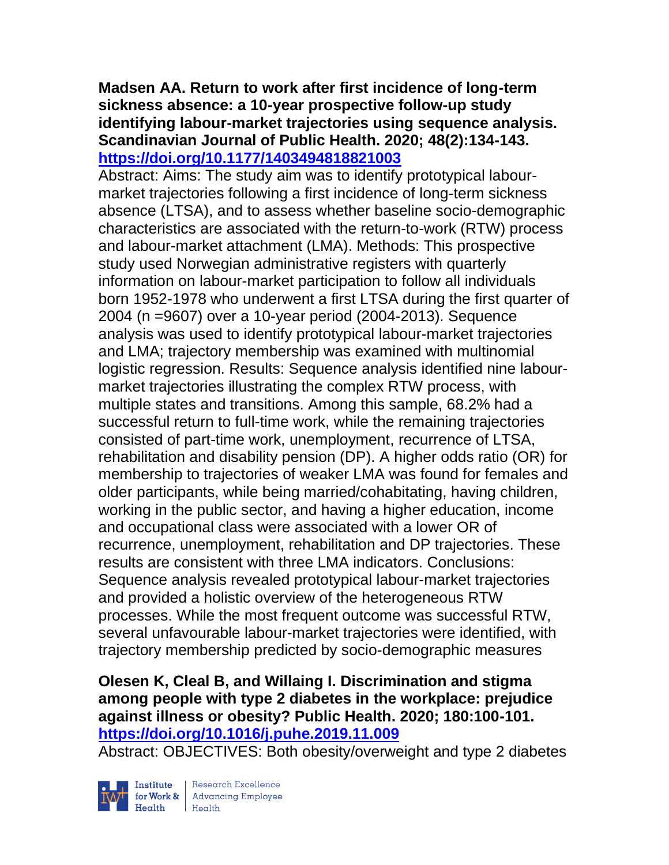### **Madsen AA. Return to work after first incidence of long-term sickness absence: a 10-year prospective follow-up study identifying labour-market trajectories using sequence analysis. Scandinavian Journal of Public Health. 2020; 48(2):134-143. <https://doi.org/10.1177/1403494818821003>**

Abstract: Aims: The study aim was to identify prototypical labourmarket trajectories following a first incidence of long-term sickness absence (LTSA), and to assess whether baseline socio-demographic characteristics are associated with the return-to-work (RTW) process and labour-market attachment (LMA). Methods: This prospective study used Norwegian administrative registers with quarterly information on labour-market participation to follow all individuals born 1952-1978 who underwent a first LTSA during the first quarter of 2004 (n =9607) over a 10-year period (2004-2013). Sequence analysis was used to identify prototypical labour-market trajectories and LMA; trajectory membership was examined with multinomial logistic regression. Results: Sequence analysis identified nine labourmarket trajectories illustrating the complex RTW process, with multiple states and transitions. Among this sample, 68.2% had a successful return to full-time work, while the remaining trajectories consisted of part-time work, unemployment, recurrence of LTSA, rehabilitation and disability pension (DP). A higher odds ratio (OR) for membership to trajectories of weaker LMA was found for females and older participants, while being married/cohabitating, having children, working in the public sector, and having a higher education, income and occupational class were associated with a lower OR of recurrence, unemployment, rehabilitation and DP trajectories. These results are consistent with three LMA indicators. Conclusions: Sequence analysis revealed prototypical labour-market trajectories and provided a holistic overview of the heterogeneous RTW processes. While the most frequent outcome was successful RTW, several unfavourable labour-market trajectories were identified, with trajectory membership predicted by socio-demographic measures

### **Olesen K, Cleal B, and Willaing I. Discrimination and stigma among people with type 2 diabetes in the workplace: prejudice against illness or obesity? Public Health. 2020; 180:100-101. <https://doi.org/10.1016/j.puhe.2019.11.009>**

Abstract: OBJECTIVES: Both obesity/overweight and type 2 diabetes



| Research Excellence **Institute** Research Excellence<br> **Fractional Advancing Employee**<br> **Health** Health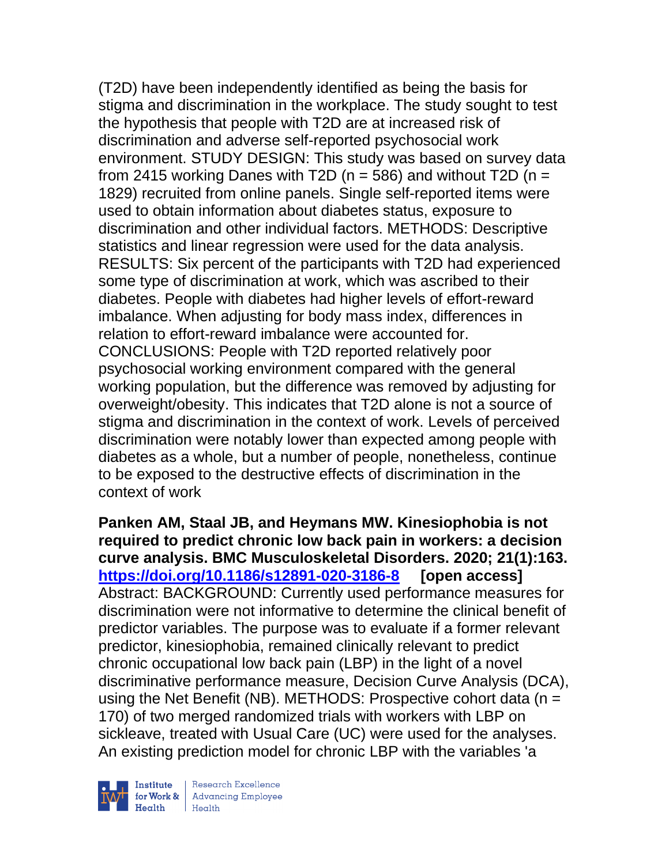(T2D) have been independently identified as being the basis for stigma and discrimination in the workplace. The study sought to test the hypothesis that people with T2D are at increased risk of discrimination and adverse self-reported psychosocial work environment. STUDY DESIGN: This study was based on survey data from 2415 working Danes with T2D ( $n = 586$ ) and without T2D ( $n =$ 1829) recruited from online panels. Single self-reported items were used to obtain information about diabetes status, exposure to discrimination and other individual factors. METHODS: Descriptive statistics and linear regression were used for the data analysis. RESULTS: Six percent of the participants with T2D had experienced some type of discrimination at work, which was ascribed to their diabetes. People with diabetes had higher levels of effort-reward imbalance. When adjusting for body mass index, differences in relation to effort-reward imbalance were accounted for. CONCLUSIONS: People with T2D reported relatively poor psychosocial working environment compared with the general working population, but the difference was removed by adjusting for overweight/obesity. This indicates that T2D alone is not a source of stigma and discrimination in the context of work. Levels of perceived discrimination were notably lower than expected among people with diabetes as a whole, but a number of people, nonetheless, continue to be exposed to the destructive effects of discrimination in the context of work

**Panken AM, Staal JB, and Heymans MW. Kinesiophobia is not required to predict chronic low back pain in workers: a decision curve analysis. BMC Musculoskeletal Disorders. 2020; 21(1):163. <https://doi.org/10.1186/s12891-020-3186-8> [open access]** Abstract: BACKGROUND: Currently used performance measures for discrimination were not informative to determine the clinical benefit of predictor variables. The purpose was to evaluate if a former relevant predictor, kinesiophobia, remained clinically relevant to predict chronic occupational low back pain (LBP) in the light of a novel discriminative performance measure, Decision Curve Analysis (DCA), using the Net Benefit (NB). METHODS: Prospective cohort data (n = 170) of two merged randomized trials with workers with LBP on sickleave, treated with Usual Care (UC) were used for the analyses. An existing prediction model for chronic LBP with the variables 'a



| Research Excellence for Work & Advancing Employee<br>Health Health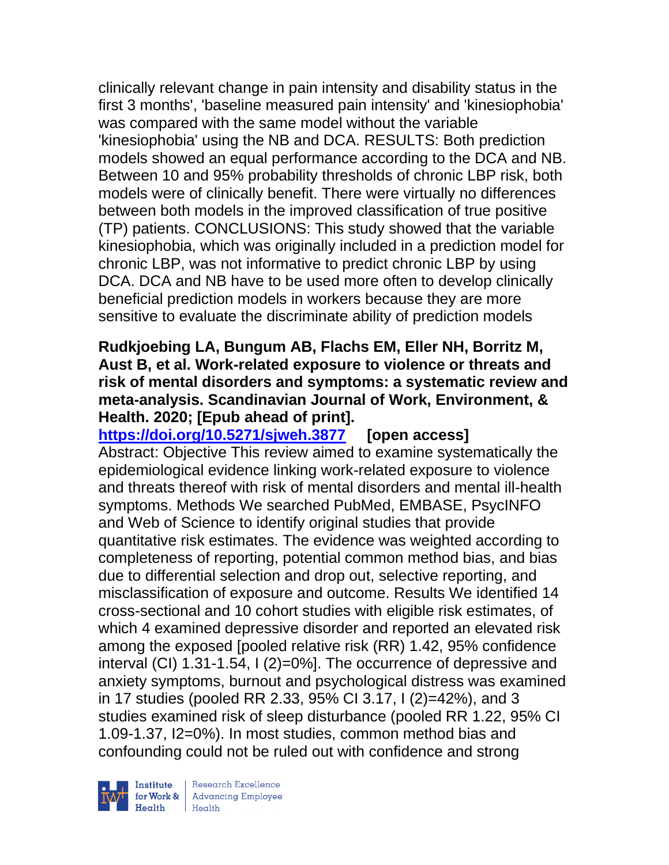clinically relevant change in pain intensity and disability status in the first 3 months', 'baseline measured pain intensity' and 'kinesiophobia' was compared with the same model without the variable 'kinesiophobia' using the NB and DCA. RESULTS: Both prediction models showed an equal performance according to the DCA and NB. Between 10 and 95% probability thresholds of chronic LBP risk, both models were of clinically benefit. There were virtually no differences between both models in the improved classification of true positive (TP) patients. CONCLUSIONS: This study showed that the variable kinesiophobia, which was originally included in a prediction model for chronic LBP, was not informative to predict chronic LBP by using DCA. DCA and NB have to be used more often to develop clinically beneficial prediction models in workers because they are more sensitive to evaluate the discriminate ability of prediction models

### **Rudkjoebing LA, Bungum AB, Flachs EM, Eller NH, Borritz M, Aust B, et al. Work-related exposure to violence or threats and risk of mental disorders and symptoms: a systematic review and meta-analysis. Scandinavian Journal of Work, Environment, & Health. 2020; [Epub ahead of print].**

**<https://doi.org/10.5271/sjweh.3877> [open access]** Abstract: Objective This review aimed to examine systematically the epidemiological evidence linking work-related exposure to violence and threats thereof with risk of mental disorders and mental ill-health symptoms. Methods We searched PubMed, EMBASE, PsycINFO and Web of Science to identify original studies that provide quantitative risk estimates. The evidence was weighted according to completeness of reporting, potential common method bias, and bias due to differential selection and drop out, selective reporting, and misclassification of exposure and outcome. Results We identified 14 cross-sectional and 10 cohort studies with eligible risk estimates, of which 4 examined depressive disorder and reported an elevated risk among the exposed [pooled relative risk (RR) 1.42, 95% confidence interval (CI) 1.31-1.54, I (2)=0%]. The occurrence of depressive and anxiety symptoms, burnout and psychological distress was examined in 17 studies (pooled RR 2.33, 95% CI 3.17, I (2)=42%), and 3 studies examined risk of sleep disturbance (pooled RR 1.22, 95% CI 1.09-1.37, I2=0%). In most studies, common method bias and confounding could not be ruled out with confidence and strong



Research Excellence for Work & | Advancing Employee  $H$ ealth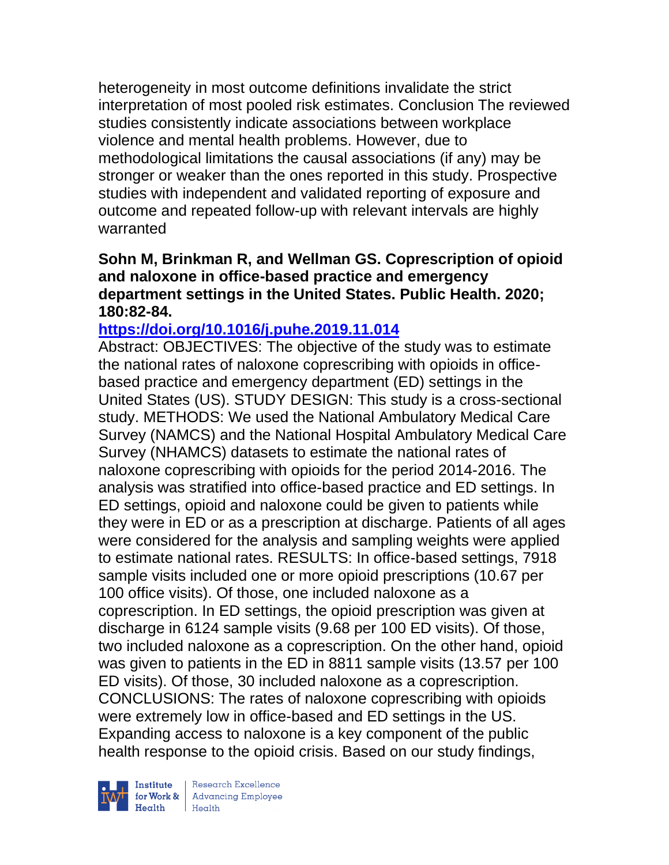heterogeneity in most outcome definitions invalidate the strict interpretation of most pooled risk estimates. Conclusion The reviewed studies consistently indicate associations between workplace violence and mental health problems. However, due to methodological limitations the causal associations (if any) may be stronger or weaker than the ones reported in this study. Prospective studies with independent and validated reporting of exposure and outcome and repeated follow-up with relevant intervals are highly warranted

### **Sohn M, Brinkman R, and Wellman GS. Coprescription of opioid and naloxone in office-based practice and emergency department settings in the United States. Public Health. 2020; 180:82-84.**

### **<https://doi.org/10.1016/j.puhe.2019.11.014>**

Abstract: OBJECTIVES: The objective of the study was to estimate the national rates of naloxone coprescribing with opioids in officebased practice and emergency department (ED) settings in the United States (US). STUDY DESIGN: This study is a cross-sectional study. METHODS: We used the National Ambulatory Medical Care Survey (NAMCS) and the National Hospital Ambulatory Medical Care Survey (NHAMCS) datasets to estimate the national rates of naloxone coprescribing with opioids for the period 2014-2016. The analysis was stratified into office-based practice and ED settings. In ED settings, opioid and naloxone could be given to patients while they were in ED or as a prescription at discharge. Patients of all ages were considered for the analysis and sampling weights were applied to estimate national rates. RESULTS: In office-based settings, 7918 sample visits included one or more opioid prescriptions (10.67 per 100 office visits). Of those, one included naloxone as a coprescription. In ED settings, the opioid prescription was given at discharge in 6124 sample visits (9.68 per 100 ED visits). Of those, two included naloxone as a coprescription. On the other hand, opioid was given to patients in the ED in 8811 sample visits (13.57 per 100 ED visits). Of those, 30 included naloxone as a coprescription. CONCLUSIONS: The rates of naloxone coprescribing with opioids were extremely low in office-based and ED settings in the US. Expanding access to naloxone is a key component of the public health response to the opioid crisis. Based on our study findings,



| Research Excellence for Work & Advancing Employee<br>Health Health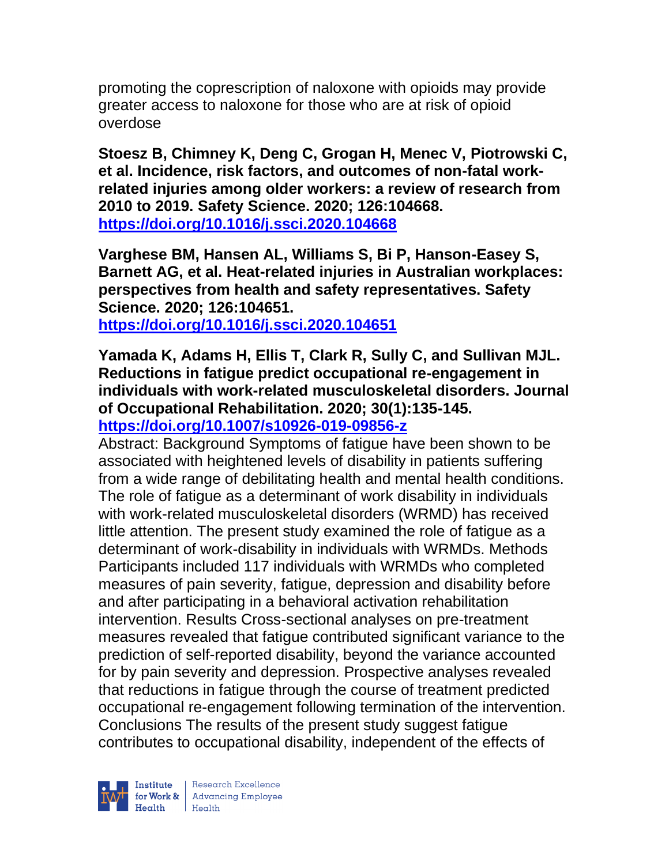promoting the coprescription of naloxone with opioids may provide greater access to naloxone for those who are at risk of opioid overdose

**Stoesz B, Chimney K, Deng C, Grogan H, Menec V, Piotrowski C, et al. Incidence, risk factors, and outcomes of non-fatal workrelated injuries among older workers: a review of research from 2010 to 2019. Safety Science. 2020; 126:104668. <https://doi.org/10.1016/j.ssci.2020.104668>** 

**Varghese BM, Hansen AL, Williams S, Bi P, Hanson-Easey S, Barnett AG, et al. Heat-related injuries in Australian workplaces: perspectives from health and safety representatives. Safety Science. 2020; 126:104651.**

**<https://doi.org/10.1016/j.ssci.2020.104651>** 

**Yamada K, Adams H, Ellis T, Clark R, Sully C, and Sullivan MJL. Reductions in fatigue predict occupational re-engagement in individuals with work-related musculoskeletal disorders. Journal of Occupational Rehabilitation. 2020; 30(1):135-145. <https://doi.org/10.1007/s10926-019-09856-z>** 

Abstract: Background Symptoms of fatigue have been shown to be associated with heightened levels of disability in patients suffering from a wide range of debilitating health and mental health conditions. The role of fatigue as a determinant of work disability in individuals with work-related musculoskeletal disorders (WRMD) has received little attention. The present study examined the role of fatigue as a determinant of work-disability in individuals with WRMDs. Methods Participants included 117 individuals with WRMDs who completed measures of pain severity, fatigue, depression and disability before and after participating in a behavioral activation rehabilitation intervention. Results Cross-sectional analyses on pre-treatment measures revealed that fatigue contributed significant variance to the prediction of self-reported disability, beyond the variance accounted for by pain severity and depression. Prospective analyses revealed that reductions in fatigue through the course of treatment predicted occupational re-engagement following termination of the intervention. Conclusions The results of the present study suggest fatigue contributes to occupational disability, independent of the effects of